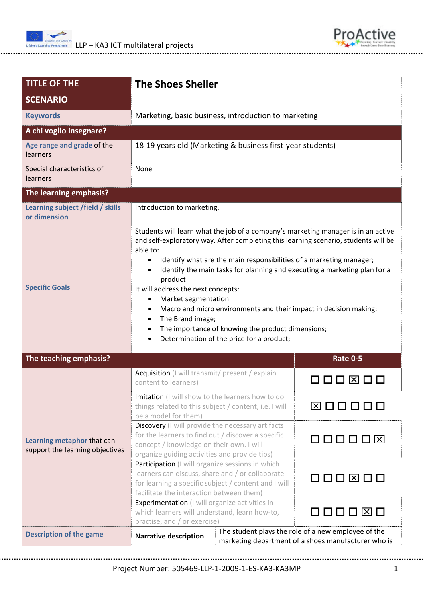



| <b>TITLE OF THE</b>                                                                                                                                                          | <b>The Shoes Sheller</b>                                                                                                                                                                                                                                                                                                                                                                                                                                                                                                                                                                                                                   |          |  |  |
|------------------------------------------------------------------------------------------------------------------------------------------------------------------------------|--------------------------------------------------------------------------------------------------------------------------------------------------------------------------------------------------------------------------------------------------------------------------------------------------------------------------------------------------------------------------------------------------------------------------------------------------------------------------------------------------------------------------------------------------------------------------------------------------------------------------------------------|----------|--|--|
| <b>SCENARIO</b>                                                                                                                                                              |                                                                                                                                                                                                                                                                                                                                                                                                                                                                                                                                                                                                                                            |          |  |  |
| <b>Keywords</b>                                                                                                                                                              | Marketing, basic business, introduction to marketing                                                                                                                                                                                                                                                                                                                                                                                                                                                                                                                                                                                       |          |  |  |
| A chi voglio insegnare?                                                                                                                                                      |                                                                                                                                                                                                                                                                                                                                                                                                                                                                                                                                                                                                                                            |          |  |  |
| Age range and grade of the<br>learners                                                                                                                                       | 18-19 years old (Marketing & business first-year students)                                                                                                                                                                                                                                                                                                                                                                                                                                                                                                                                                                                 |          |  |  |
| Special characteristics of<br>learners                                                                                                                                       | None                                                                                                                                                                                                                                                                                                                                                                                                                                                                                                                                                                                                                                       |          |  |  |
| The learning emphasis?                                                                                                                                                       |                                                                                                                                                                                                                                                                                                                                                                                                                                                                                                                                                                                                                                            |          |  |  |
| Learning subject /field / skills<br>or dimension                                                                                                                             | Introduction to marketing.                                                                                                                                                                                                                                                                                                                                                                                                                                                                                                                                                                                                                 |          |  |  |
| <b>Specific Goals</b>                                                                                                                                                        | Students will learn what the job of a company's marketing manager is in an active<br>and self-exploratory way. After completing this learning scenario, students will be<br>able to:<br>Identify what are the main responsibilities of a marketing manager;<br>$\bullet$<br>Identify the main tasks for planning and executing a marketing plan for a<br>product<br>It will address the next concepts:<br>Market segmentation<br>٠<br>Macro and micro environments and their impact in decision making;<br>The Brand image;<br>$\bullet$<br>The importance of knowing the product dimensions;<br>Determination of the price for a product; |          |  |  |
| The teaching emphasis?<br><b>Rate 0-5</b>                                                                                                                                    |                                                                                                                                                                                                                                                                                                                                                                                                                                                                                                                                                                                                                                            |          |  |  |
| Learning metaphor that can<br>support the learning objectives                                                                                                                | Acquisition (I will transmit/ present / explain<br>content to learners)                                                                                                                                                                                                                                                                                                                                                                                                                                                                                                                                                                    |          |  |  |
|                                                                                                                                                                              | Imitation (I will show to the learners how to do<br>things related to this subject / content, i.e. I will<br>be a model for them)                                                                                                                                                                                                                                                                                                                                                                                                                                                                                                          | ⊠□□□     |  |  |
|                                                                                                                                                                              | Discovery (I will provide the necessary artifacts<br>for the learners to find out / discover a specific<br>concept / knowledge on their own. I will<br>organize guiding activities and provide tips)                                                                                                                                                                                                                                                                                                                                                                                                                                       | 000008   |  |  |
|                                                                                                                                                                              | Participation (I will organize sessions in which<br>learners can discuss, share and / or collaborate<br>for learning a specific subject / content and I will<br>facilitate the interaction between them)                                                                                                                                                                                                                                                                                                                                                                                                                                   |          |  |  |
|                                                                                                                                                                              | Experimentation (I will organize activities in<br>which learners will understand, learn how-to,<br>practise, and / or exercise)                                                                                                                                                                                                                                                                                                                                                                                                                                                                                                            | 0000 X 0 |  |  |
| The student plays the role of a new employee of the<br><b>Description of the game</b><br><b>Narrative description</b><br>marketing department of a shoes manufacturer who is |                                                                                                                                                                                                                                                                                                                                                                                                                                                                                                                                                                                                                                            |          |  |  |

Project Number: 505469‐LLP‐1‐2009‐1‐ES‐KA3‐KA3MP 1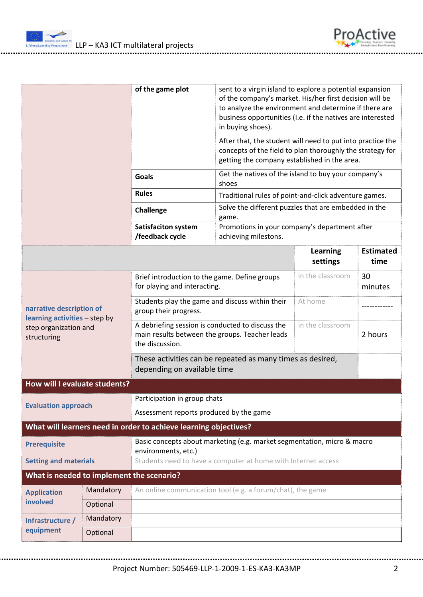



|                                                                                                   |                                                                                                | of the game plot                                                                                                      | sent to a virgin island to explore a potential expansion<br>of the company's market. His/her first decision will be<br>to analyze the environment and determine if there are<br>business opportunities (I.e. if the natives are interested<br>in buying shoes). |                      |                          |
|---------------------------------------------------------------------------------------------------|------------------------------------------------------------------------------------------------|-----------------------------------------------------------------------------------------------------------------------|-----------------------------------------------------------------------------------------------------------------------------------------------------------------------------------------------------------------------------------------------------------------|----------------------|--------------------------|
|                                                                                                   |                                                                                                |                                                                                                                       | After that, the student will need to put into practice the<br>concepts of the field to plan thoroughly the strategy for<br>getting the company established in the area.                                                                                         |                      |                          |
|                                                                                                   |                                                                                                | <b>Goals</b>                                                                                                          | Get the natives of the island to buy your company's<br>shoes                                                                                                                                                                                                    |                      |                          |
|                                                                                                   |                                                                                                | <b>Rules</b>                                                                                                          | Traditional rules of point-and-click adventure games.                                                                                                                                                                                                           |                      |                          |
|                                                                                                   |                                                                                                | Challenge                                                                                                             | Solve the different puzzles that are embedded in the<br>game.                                                                                                                                                                                                   |                      |                          |
|                                                                                                   |                                                                                                | Satisfaciton system<br>/feedback cycle                                                                                | Promotions in your company's department after<br>achieving milestons.                                                                                                                                                                                           |                      |                          |
|                                                                                                   |                                                                                                |                                                                                                                       |                                                                                                                                                                                                                                                                 | Learning<br>settings | <b>Estimated</b><br>time |
| narrative description of<br>learning activities - step by<br>step organization and<br>structuring |                                                                                                | Brief introduction to the game. Define groups<br>for playing and interacting.                                         |                                                                                                                                                                                                                                                                 | in the classroom     | 30<br>minutes            |
|                                                                                                   |                                                                                                | Students play the game and discuss within their<br>At home<br>group their progress.                                   |                                                                                                                                                                                                                                                                 |                      |                          |
|                                                                                                   |                                                                                                | A debriefing session is conducted to discuss the<br>main results between the groups. Teacher leads<br>the discussion. |                                                                                                                                                                                                                                                                 | in the classroom     | 2 hours                  |
|                                                                                                   |                                                                                                | These activities can be repeated as many times as desired,<br>depending on available time                             |                                                                                                                                                                                                                                                                 |                      |                          |
| How will I evaluate students?                                                                     |                                                                                                |                                                                                                                       |                                                                                                                                                                                                                                                                 |                      |                          |
| <b>Evaluation approach</b>                                                                        |                                                                                                | Participation in group chats                                                                                          |                                                                                                                                                                                                                                                                 |                      |                          |
|                                                                                                   |                                                                                                | Assessment reports produced by the game                                                                               |                                                                                                                                                                                                                                                                 |                      |                          |
|                                                                                                   |                                                                                                | What will learners need in order to achieve learning objectives?                                                      |                                                                                                                                                                                                                                                                 |                      |                          |
| <b>Prerequisite</b>                                                                               | Basic concepts about marketing (e.g. market segmentation, micro & macro<br>environments, etc.) |                                                                                                                       |                                                                                                                                                                                                                                                                 |                      |                          |
| <b>Setting and materials</b>                                                                      |                                                                                                | Students need to have a computer at home with Internet access                                                         |                                                                                                                                                                                                                                                                 |                      |                          |
| What is needed to implement the scenario?                                                         |                                                                                                |                                                                                                                       |                                                                                                                                                                                                                                                                 |                      |                          |
| <b>Application</b><br>involved                                                                    | Mandatory                                                                                      | An online communication tool (e.g. a forum/chat), the game                                                            |                                                                                                                                                                                                                                                                 |                      |                          |
|                                                                                                   | Optional                                                                                       |                                                                                                                       |                                                                                                                                                                                                                                                                 |                      |                          |
| Infrastructure /<br>equipment                                                                     | Mandatory                                                                                      |                                                                                                                       |                                                                                                                                                                                                                                                                 |                      |                          |
|                                                                                                   | Optional                                                                                       |                                                                                                                       |                                                                                                                                                                                                                                                                 |                      |                          |